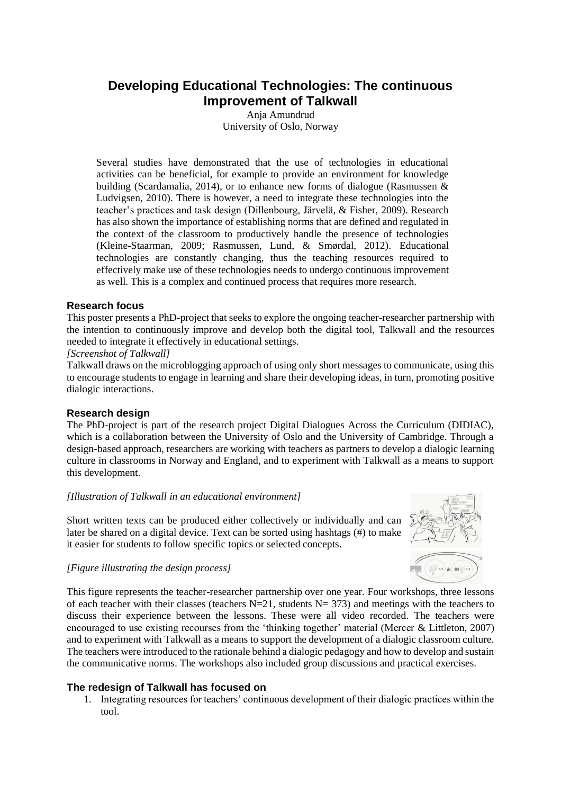# **Developing Educational Technologies: The continuous Improvement of Talkwall**

Anja Amundrud University of Oslo, Norway

Several studies have demonstrated that the use of technologies in educational activities can be beneficial, for example to provide an environment for knowledge building (Scardamalia, 2014), or to enhance new forms of dialogue (Rasmussen & Ludvigsen, 2010). There is however, a need to integrate these technologies into the teacher's practices and task design (Dillenbourg, Järvelä, & Fisher, 2009). Research has also shown the importance of establishing norms that are defined and regulated in the context of the classroom to productively handle the presence of technologies (Kleine-Staarman, 2009; Rasmussen, Lund, & Smørdal, 2012). Educational technologies are constantly changing, thus the teaching resources required to effectively make use of these technologies needs to undergo continuous improvement as well. This is a complex and continued process that requires more research.

## **Research focus**

This poster presents a PhD-project that seeks to explore the ongoing teacher-researcher partnership with the intention to continuously improve and develop both the digital tool, Talkwall and the resources needed to integrate it effectively in educational settings.

#### *[Screenshot of Talkwall]*

Talkwall draws on the microblogging approach of using only short messages to communicate, using this to encourage students to engage in learning and share their developing ideas, in turn, promoting positive dialogic interactions.

#### **Research design**

The PhD-project is part of the research project Digital Dialogues Across the Curriculum (DIDIAC), which is a collaboration between the University of Oslo and the University of Cambridge. Through a design-based approach, researchers are working with teachers as partners to develop a dialogic learning culture in classrooms in Norway and England, and to experiment with Talkwall as a means to support this development.

#### *[Illustration of Talkwall in an educational environment]*

Short written texts can be produced either collectively or individually and can later be shared on a digital device. Text can be sorted using hashtags (#) to make it easier for students to follow specific topics or selected concepts.



#### *[Figure illustrating the design process]*

This figure represents the teacher-researcher partnership over one year. Four workshops, three lessons of each teacher with their classes (teachers  $N=21$ , students  $N= 373$ ) and meetings with the teachers to discuss their experience between the lessons. These were all video recorded. The teachers were encouraged to use existing recourses from the 'thinking together' material (Mercer & Littleton, 2007) and to experiment with Talkwall as a means to support the development of a dialogic classroom culture. The teachers were introduced to the rationale behind a dialogic pedagogy and how to develop and sustain the communicative norms. The workshops also included group discussions and practical exercises.

#### **The redesign of Talkwall has focused on**

1. Integrating resources for teachers' continuous development of their dialogic practices within the tool.